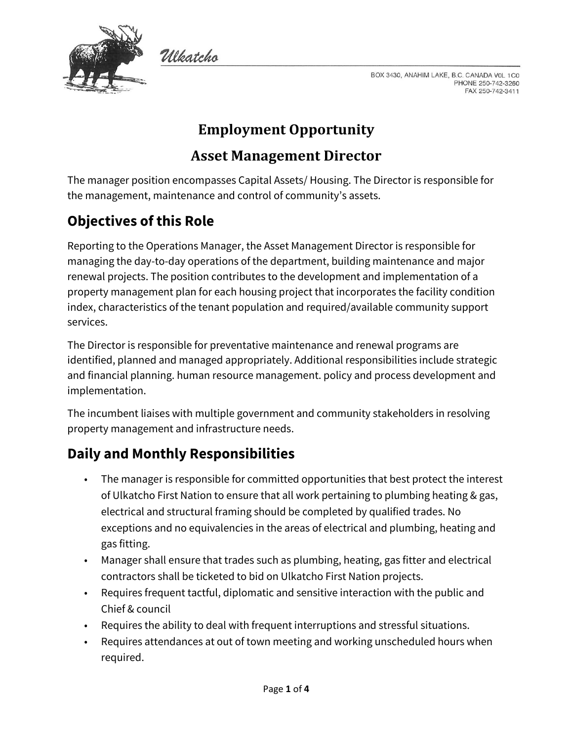

BOX 3430, ANAHIM LAKE, B.C. CANADA VOL 1C0 PHONE 250-742-3260 FAX 250-742-3411

# **Employment Opportunity**

#### **Asset Management Director**

The manager position encompasses Capital Assets/ Housing. The Director is responsible for the management, maintenance and control of community's assets.

## **Objectives of this Role**

Wlkatcho

Reporting to the Operations Manager, the Asset Management Director is responsible for managing the day-to-day operations of the department, building maintenance and major renewal projects. The position contributes to the development and implementation of a property management plan for each housing project that incorporates the facility condition index, characteristics of the tenant population and required/available community support services.

The Director is responsible for preventative maintenance and renewal programs are identified, planned and managed appropriately. Additional responsibilities include strategic and financial planning. human resource management. policy and process development and implementation.

The incumbent liaises with multiple government and community stakeholders in resolving property management and infrastructure needs.

### **Daily and Monthly Responsibilities**

- The manager is responsible for committed opportunities that best protect the interest of Ulkatcho First Nation to ensure that all work pertaining to plumbing heating & gas, electrical and structural framing should be completed by qualified trades. No exceptions and no equivalencies in the areas of electrical and plumbing, heating and gas fitting.
- Manager shall ensure that trades such as plumbing, heating, gas fitter and electrical contractors shall be ticketed to bid on Ulkatcho First Nation projects.
- Requires frequent tactful, diplomatic and sensitive interaction with the public and Chief & council
- Requires the ability to deal with frequent interruptions and stressful situations.
- Requires attendances at out of town meeting and working unscheduled hours when required.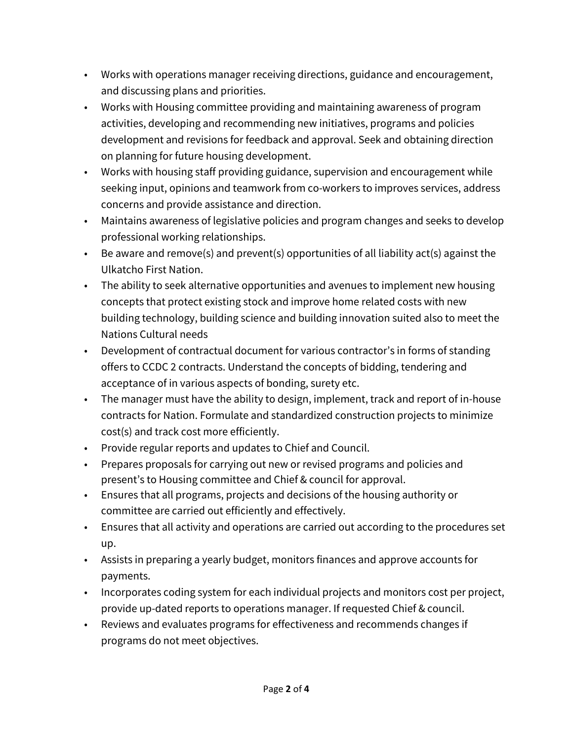- Works with operations manager receiving directions, guidance and encouragement, and discussing plans and priorities.
- Works with Housing committee providing and maintaining awareness of program activities, developing and recommending new initiatives, programs and policies development and revisions for feedback and approval. Seek and obtaining direction on planning for future housing development.
- Works with housing staff providing guidance, supervision and encouragement while seeking input, opinions and teamwork from co-workers to improves services, address concerns and provide assistance and direction.
- Maintains awareness of legislative policies and program changes and seeks to develop professional working relationships.
- Be aware and remove(s) and prevent(s) opportunities of all liability act(s) against the Ulkatcho First Nation.
- The ability to seek alternative opportunities and avenues to implement new housing concepts that protect existing stock and improve home related costs with new building technology, building science and building innovation suited also to meet the Nations Cultural needs
- Development of contractual document for various contractor's in forms of standing offers to CCDC 2 contracts. Understand the concepts of bidding, tendering and acceptance of in various aspects of bonding, surety etc.
- The manager must have the ability to design, implement, track and report of in-house contracts for Nation. Formulate and standardized construction projects to minimize cost(s) and track cost more efficiently.
- Provide regular reports and updates to Chief and Council.
- Prepares proposals for carrying out new or revised programs and policies and present's to Housing committee and Chief & council for approval.
- Ensures that all programs, projects and decisions of the housing authority or committee are carried out efficiently and effectively.
- Ensures that all activity and operations are carried out according to the procedures set up.
- Assists in preparing a yearly budget, monitors finances and approve accounts for payments.
- Incorporates coding system for each individual projects and monitors cost per project, provide up-dated reports to operations manager. If requested Chief & council.
- Reviews and evaluates programs for effectiveness and recommends changes if programs do not meet objectives.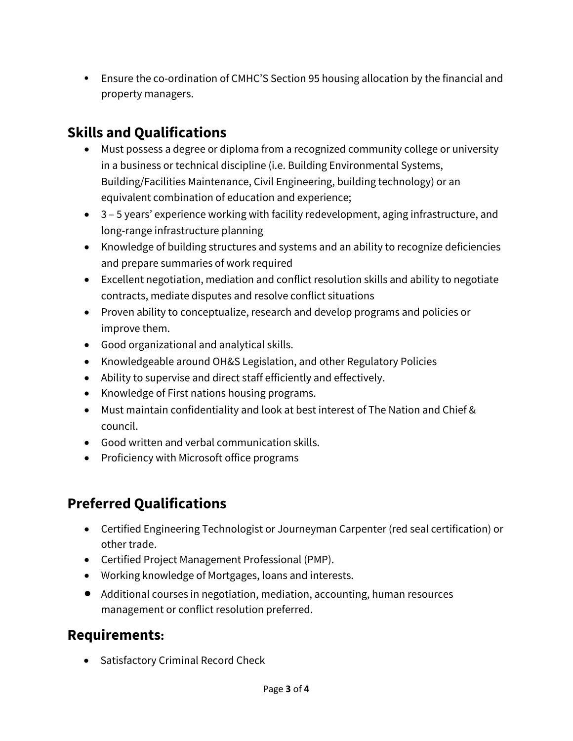• Ensure the co-ordination of CMHC'S Section 95 housing allocation by the financial and property managers.

## **Skills and Qualifications**

- Must possess a degree or diploma from a recognized community college or university in a business or technical discipline (i.e. Building Environmental Systems, Building/Facilities Maintenance, Civil Engineering, building technology) or an equivalent combination of education and experience;
- 3 5 years' experience working with facility redevelopment, aging infrastructure, and long-range infrastructure planning
- Knowledge of building structures and systems and an ability to recognize deficiencies and prepare summaries of work required
- Excellent negotiation, mediation and conflict resolution skills and ability to negotiate contracts, mediate disputes and resolve conflict situations
- Proven ability to conceptualize, research and develop programs and policies or improve them.
- Good organizational and analytical skills.
- Knowledgeable around OH&S Legislation, and other Regulatory Policies
- Ability to supervise and direct staff efficiently and effectively.
- Knowledge of First nations housing programs.
- Must maintain confidentiality and look at best interest of The Nation and Chief & council.
- Good written and verbal communication skills.
- Proficiency with Microsoft office programs

### **Preferred Qualifications**

- Certified Engineering Technologist or Journeyman Carpenter (red seal certification) or other trade.
- Certified Project Management Professional (PMP).
- Working knowledge of Mortgages, loans and interests.
- Additional courses in negotiation, mediation, accounting, human resources management or conflict resolution preferred.

#### **Requirements:**

• Satisfactory Criminal Record Check